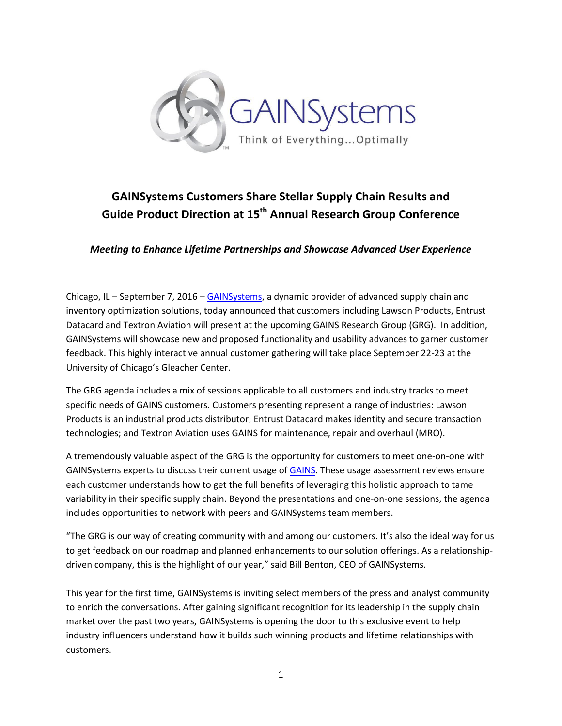

## **GAINSystems Customers Share Stellar Supply Chain Results and Guide Product Direction at 15th Annual Research Group Conference**

*Meeting to Enhance Lifetime Partnerships and Showcase Advanced User Experience*

Chicago, IL – September 7, 2016 – [GAINSystems,](http://gainsystems.com/) a dynamic provider of advanced supply chain and inventory optimization solutions, today announced that customers including Lawson Products, Entrust Datacard and Textron Aviation will present at the upcoming GAINS Research Group (GRG). In addition, GAINSystems will showcase new and proposed functionality and usability advances to garner customer feedback. This highly interactive annual customer gathering will take place September 22-23 at the University of Chicago's Gleacher Center.

The GRG agenda includes a mix of sessions applicable to all customers and industry tracks to meet specific needs of GAINS customers. Customers presenting represent a range of industries: Lawson Products is an industrial products distributor; Entrust Datacard makes identity and secure transaction technologies; and Textron Aviation uses GAINS for maintenance, repair and overhaul (MRO).

A tremendously valuable aspect of the GRG is the opportunity for customers to meet one-on-one with GAINSystems experts to discuss their current usage o[f GAINS.](http://gainsystems.com/sco-overview/) These usage assessment reviews ensure each customer understands how to get the full benefits of leveraging this holistic approach to tame variability in their specific supply chain. Beyond the presentations and one-on-one sessions, the agenda includes opportunities to network with peers and GAINSystems team members.

"The GRG is our way of creating community with and among our customers. It's also the ideal way for us to get feedback on our roadmap and planned enhancements to our solution offerings. As a relationshipdriven company, this is the highlight of our year," said Bill Benton, CEO of GAINSystems.

This year for the first time, GAINSystems is inviting select members of the press and analyst community to enrich the conversations. After gaining significant recognition for its leadership in the supply chain market over the past two years, GAINSystems is opening the door to this exclusive event to help industry influencers understand how it builds such winning products and lifetime relationships with customers.